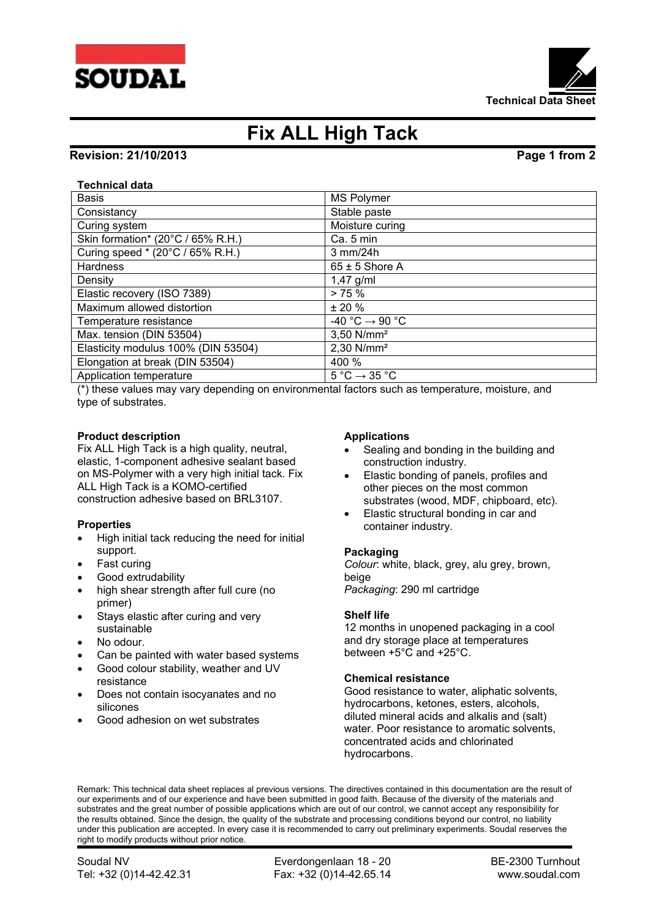



# **Fix ALL High Tack**

### **Revision: 21/10/2013 Page 1 from 2**

### **Technical data**

| <b>Basis</b>                        | <b>MS Polymer</b>                           |
|-------------------------------------|---------------------------------------------|
| Consistancy                         | Stable paste                                |
| Curing system                       | Moisture curing                             |
| Skin formation* (20°C / 65% R.H.)   | Ca. 5 min                                   |
| Curing speed * (20°C / 65% R.H.)    | $3$ mm/24h                                  |
| <b>Hardness</b>                     | $65 \pm 5$ Shore A                          |
| Density                             | $1,47$ g/ml                                 |
| Elastic recovery (ISO 7389)         | > 75%                                       |
| Maximum allowed distortion          | $± 20 \%$                                   |
| Temperature resistance              | $-40 °C \rightarrow 90 °C$                  |
| Max. tension (DIN 53504)            | 3,50 N/mm <sup>2</sup>                      |
| Elasticity modulus 100% (DIN 53504) | $2,30$ N/mm <sup>2</sup>                    |
| Elongation at break (DIN 53504)     | 400 %                                       |
| Application temperature             | $5^{\circ}$ C $\rightarrow$ 35 $^{\circ}$ C |

(\*) these values may vary depending on environmental factors such as temperature, moisture, and type of substrates.

### **Product description**

Fix ALL High Tack is a high quality, neutral, elastic, 1-component adhesive sealant based on MS-Polymer with a very high initial tack. Fix ALL High Tack is a KOMO-certified construction adhesive based on BRL3107.

### **Properties**

- High initial tack reducing the need for initial support.
- Fast curing
- Good extrudability
- high shear strength after full cure (no primer)
- Stays elastic after curing and very sustainable
- No odour.
- Can be painted with water based systems
- Good colour stability, weather and UV resistance
- Does not contain isocyanates and no silicones
- Good adhesion on wet substrates

#### **Applications**

- Sealing and bonding in the building and construction industry.
- Elastic bonding of panels, profiles and other pieces on the most common substrates (wood, MDF, chipboard, etc).
- Elastic structural bonding in car and container industry.

### **Packaging**

*Colour*: white, black, grey, alu grey, brown, beige *Packaging*: 290 ml cartridge

### **Shelf life**

12 months in unopened packaging in a cool and dry storage place at temperatures between +5°C and +25°C.

### **Chemical resistance**

Good resistance to water, aliphatic solvents, hydrocarbons, ketones, esters, alcohols, diluted mineral acids and alkalis and (salt) water. Poor resistance to aromatic solvents, concentrated acids and chlorinated hydrocarbons.

Remark: This technical data sheet replaces al previous versions. The directives contained in this documentation are the result of our experiments and of our experience and have been submitted in good faith. Because of the diversity of the materials and substrates and the great number of possible applications which are out of our control, we cannot accept any responsibility for the results obtained. Since the design, the quality of the substrate and processing conditions beyond our control, no liability under this publication are accepted. In every case it is recommended to carry out preliminary experiments. Soudal reserves the right to modify products without prior notice.